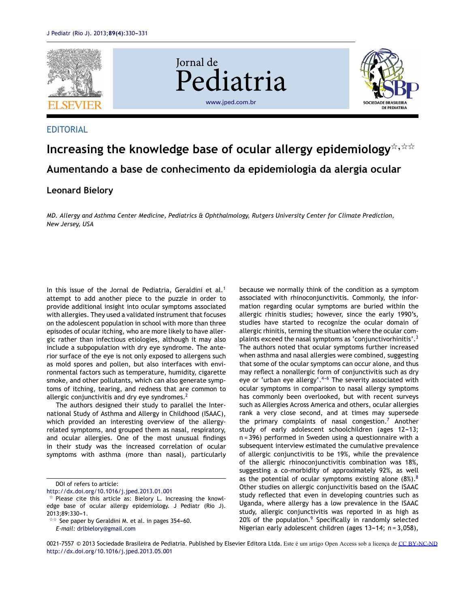

### **EDITORIAL**

# **Increasing the knowledge base of ocular allergy epidemiology**-,-- **Aumentando a base de conhecimento da epidemiologia da alergia ocular**

## **Leonard Bielory**

*MD. Allergy and Asthma Center Medicine, Pediatrics & Ophthalmology, Rutgers University Center for Climate Prediction, New Jersey, USA*

In this issue of the Jornal de Pediatria, Geraldini et al.<sup>[1](#page-1-0)</sup> attempt to add another piece to the puzzle in order to provide additional insight into ocular symptoms associated with allergies. They used a validated instrument that focuses on the adolescent population in school with more than three episodes of ocular itching, who are more likely to have allergic rather than infectious etiologies, although it may also include a subpopulation with dry eye syndrome. The anterior surface of the eye is not only exposed to allergens such as mold spores and pollen, but also interfaces with environmental factors such as temperature, humidity, cigarette smoke, and other pollutants, which can also generate symptoms of itching, tearing, and redness that are common to allergic conjunctivitis and dry eye syndromes.<sup>[2](#page-1-0)</sup>

The authors designed their study to parallel the International Study of Asthma and Allergy in Childhood (ISAAC), which provided an interesting overview of the allergyrelated symptoms, and grouped them as nasal, respiratory, and ocular allergies. One of the most unusual findings in their study was the increased correlation of ocular symptoms with asthma (more than nasal), particularly

DOI of refers to article:

<http://dx.doi.org/10.1016/j.jped.2013.01.001>

because we normally think of the condition as a symptom associated with rhinoconjunctivitis. Commonly, the information regarding ocular symptoms are buried within the allergic rhinitis studies; however, since the early 1990's, studies have started to recognize the ocular domain of allergic rhinitis, terming the situation where the ocular complaints exceed the nasal symptoms as 'conjunctivorhinitis'. $3$ The authors noted that ocular symptoms further increased when asthma and nasal allergies were combined, suggesting that some of the ocular symptoms can occur alone, and thus may reflect a nonallergic form of conjunctivitis such as dry eye or 'urban eye allergy'. $4-6$  The severity associated with ocular symptoms in comparison to nasal allergy symptoms has commonly been overlooked, but with recent surveys such as Allergies Across America and others, ocular allergies rank a very close second, and at times may supersede the primary complaints of nasal congestion.<sup>[7](#page-1-0)</sup> Another study of early adolescent schoolchildren (ages 12-13; n = 396) performed in Sweden using a questionnaire with a subsequent interview estimated the cumulative prevalence of allergic conjunctivitis to be 19%, while the prevalence of the allergic rhinoconjunctivitis combination was 18%, suggesting a co-morbidity of approximately 92%, as well as the potential of ocular symptoms existing alone  $(8\%)$  $(8\%)$  $(8\%)$ .<sup>8</sup> Other studies on allergic conjunctivitis based on the ISAAC study reflected that even in developing countries such as Uganda, where allergy has a low prevalence in the ISAAC study, allergic conjunctivitis was reported in as high as 20% of the population.<sup>[9](#page-1-0)</sup> Specifically in randomly selected Nigerian early adolescent children (ages  $13-14$ ; n = 3,058),

 $*$  Please cite this article as: Bielory L. Increasing the knowledge base of ocular allergy epidemiology. J Pediatr (Rio J). 2013;89:330-1.

 $\overline{a}$  See paper by Geraldini M. et al. in pages 354–60.

*E-mail:* [drlbielory@gmail.com](mailto:drlbielory@gmail.com)

<sup>0021-7557</sup> © 2013 Sociedade Brasileira de Pediatria. Published by Elsevier Editora Ltda. Este é um artigo Open Access sob a licença de [CC BY-NC-ND](http://creativecommons.org/licenses/by-nc-nd/4.0/)[http://dx.doi.org/10.1016/j.jped.2013.05.001](dx.doi.org/10.1016/j.jped.2013.05.001)